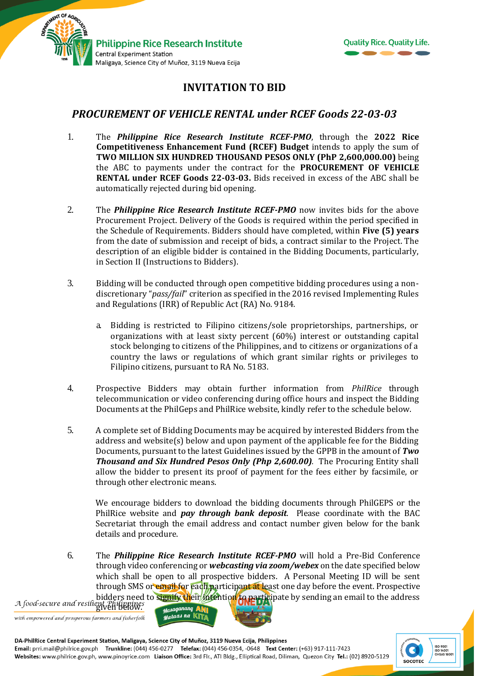



## **INVITATION TO BID**

## *PROCUREMENT OF VEHICLE RENTAL under RCEF Goods 22-03-03*

- 1. The *Philippine Rice Research Institute RCEF-PMO*, through the **2022 Rice Competitiveness Enhancement Fund (RCEF) Budget** intends to apply the sum of **TWO MILLION SIX HUNDRED THOUSAND PESOS ONLY (PhP 2,600,000.00)** being the ABC to payments under the contract for the **PROCUREMENT OF VEHICLE RENTAL under RCEF Goods 22-03-03.** Bids received in excess of the ABC shall be automatically rejected during bid opening.
- 2. The *Philippine Rice Research Institute RCEF-PMO* now invites bids for the above Procurement Project. Delivery of the Goods is required within the period specified in the Schedule of Requirements. Bidders should have completed, within **Five (5) years** from the date of submission and receipt of bids, a contract similar to the Project. The description of an eligible bidder is contained in the Bidding Documents, particularly, in Section II (Instructions to Bidders).
- 3. Bidding will be conducted through open competitive bidding procedures using a nondiscretionary "*pass/fail*" criterion as specified in the 2016 revised Implementing Rules and Regulations (IRR) of Republic Act (RA) No. 9184.
	- a. Bidding is restricted to Filipino citizens/sole proprietorships, partnerships, or organizations with at least sixty percent (60%) interest or outstanding capital stock belonging to citizens of the Philippines, and to citizens or organizations of a country the laws or regulations of which grant similar rights or privileges to Filipino citizens, pursuant to RA No. 5183.
- 4. Prospective Bidders may obtain further information from *PhilRice* through telecommunication or video conferencing during office hours and inspect the Bidding Documents at the PhilGeps and PhilRice website, kindly refer to the schedule below.
- 5. A complete set of Bidding Documents may be acquired by interested Bidders from the address and website(s) below and upon payment of the applicable fee for the Bidding Documents, pursuant to the latest Guidelines issued by the GPPB in the amount of *Two Thousand and Six Hundred Pesos Only (Php 2,600.00).* The Procuring Entity shall allow the bidder to present its proof of payment for the fees either by facsimile, or through other electronic means.

We encourage bidders to download the bidding documents through PhilGEPS or the PhilRice website and *pay through bank deposit*. Please coordinate with the BAC Secretariat through the email address and contact number given below for the bank details and procedure.

6. The *Philippine Rice Research Institute RCEF-PMO* will hold a Pre-Bid Conference through video conferencing or *webcasting via zoom/webex* on the date specified below which shall be open to all prospective bidders. A Personal Meeting ID will be sent through SMS or email for each participant at least one day before the event. Prospective bidders need to signify their intention to participate by sending an email to the address

A food-secure and resilient Philippines with empowered and prosperous farmers and fisherfolk





DA-PhilRice Central Experiment Station, Maligaya, Science City of Muñoz, 3119 Nueva Ecija, Philippines Email: prri.mail@philrice.gov.ph Trunkline: (044) 456-0277 Telefax: (044) 456-0354, -0648 Text Center: (+63) 917-111-7423 Websites: www.philrice.gov.ph, www.pinoyrice.com Liaison Office: 3rd Flr., ATI Bldg., Elliptical Road, Diliman, Quezon City Tel.: (02) 8920-5129

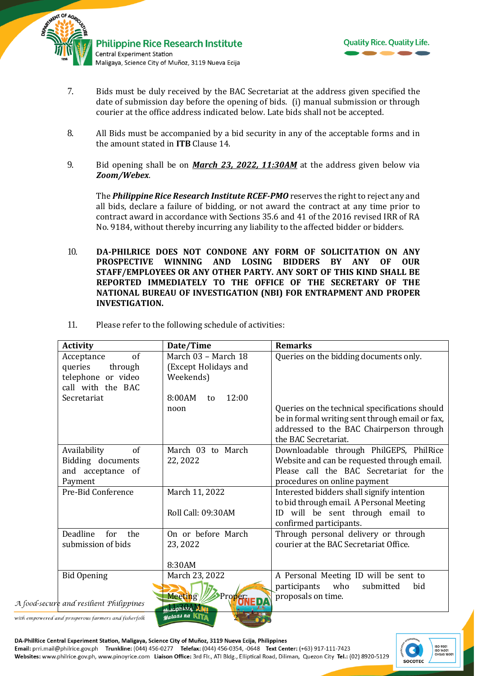



- 7. Bids must be duly received by the BAC Secretariat at the address given specified the date of submission day before the opening of bids. (i) manual submission or through courier at the office address indicated below*.* Late bids shall not be accepted.
- 8. All Bids must be accompanied by a bid security in any of the acceptable forms and in the amount stated in **ITB** Clause 14.
- 9. Bid opening shall be on *March 23, 2022, 11:30AM* at the address given below via *Zoom/Webex*.

The *Philippine Rice Research Institute RCEF-PMO* reserves the right to reject any and all bids, declare a failure of bidding, or not award the contract at any time prior to contract award in accordance with Sections 35.6 and 41 of the 2016 revised IRR of RA No. 9184, without thereby incurring any liability to the affected bidder or bidders.

10. **DA-PHILRICE DOES NOT CONDONE ANY FORM OF SOLICITATION ON ANY PROSPECTIVE WINNING AND LOSING BIDDERS BY ANY OF OUR STAFF/EMPLOYEES OR ANY OTHER PARTY. ANY SORT OF THIS KIND SHALL BE REPORTED IMMEDIATELY TO THE OFFICE OF THE SECRETARY OF THE NATIONAL BUREAU OF INVESTIGATION (NBI) FOR ENTRAPMENT AND PROPER INVESTIGATION.**

| <b>Activity</b>                                                                   | Date/Time                                                | <b>Remarks</b>                                                                                                                                                        |
|-----------------------------------------------------------------------------------|----------------------------------------------------------|-----------------------------------------------------------------------------------------------------------------------------------------------------------------------|
| of<br>Acceptance<br>queries<br>through<br>telephone or video<br>call with the BAC | March 03 - March 18<br>(Except Holidays and<br>Weekends) | Queries on the bidding documents only.                                                                                                                                |
| Secretariat                                                                       | 12:00<br>8:00AM<br>to<br>noon                            | Queries on the technical specifications should<br>be in formal writing sent through email or fax,<br>addressed to the BAC Chairperson through<br>the BAC Secretariat. |
| Availability<br>of<br>Bidding documents<br>and acceptance of<br>Payment           | March 03 to March<br>22, 2022                            | Downloadable through PhilGEPS, PhilRice<br>Website and can be requested through email.<br>Please call the BAC Secretariat for the<br>procedures on online payment     |
| Pre-Bid Conference                                                                | March 11, 2022<br>Roll Call: 09:30AM                     | Interested bidders shall signify intention<br>to bid through email. A Personal Meeting<br>ID will be sent through email to<br>confirmed participants.                 |
| Deadline<br>for<br>the<br>submission of bids                                      | On or before March<br>23, 2022<br>8:30AM                 | Through personal delivery or through<br>courier at the BAC Secretariat Office.                                                                                        |
| <b>Bid Opening</b><br>A food-secure and resilient Philippines                     | March 23, 2022<br>Meeting/<br>Proper                     | A Personal Meeting ID will be sent to<br>who<br>participants<br>submitted<br>bid<br>proposals on time.                                                                |
| with empowered and prosperous farmers and fisherfolk                              | <b><i><u>Research MNI</u></i></b><br>Mataas na KITA      |                                                                                                                                                                       |

11. Please refer to the following schedule of activities:

DA-PhilRice Central Experiment Station, Maligaya, Science City of Muñoz, 3119 Nueva Ecija, Philippines Email: prri.mail@philrice.gov.ph Trunkline: (044) 456-0277 Telefax: (044) 456-0354, -0648 Text Center: (+63) 917-111-7423 Websites: www.philrice.gov.ph, www.pinoyrice.com Liaison Office: 3rd Flr., ATI Bldg., Elliptical Road, Diliman, Quezon City Tel.: (02) 8920-5129